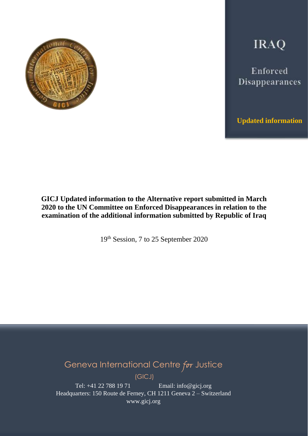

**IRAQ** 

Enforced Disappearances

**Updated information**

# **GICJ Updated information to the Alternative report submitted in March 2020 to the UN Committee on Enforced Disappearances in relation to the examination of the additional information submitted by Republic of Iraq**

19th Session, 7 to 25 September 2020

Geneva International Centre for Justice

(GICJ)

Tel: +41 22 788 19 71 Email: info@gicj.org Headquarters: 150 Route de Ferney, CH 1211 Geneva 2 – Switzerland www.gicj.org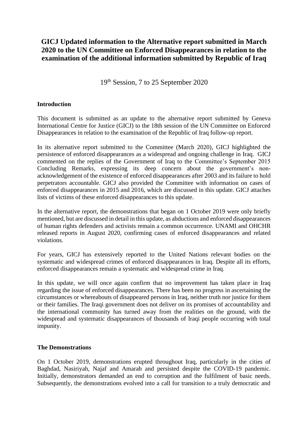# **GICJ Updated information to the Alternative report submitted in March 2020 to the UN Committee on Enforced Disappearances in relation to the examination of the additional information submitted by Republic of Iraq**

19th Session, 7 to 25 September 2020

## **Introduction**

This document is submitted as an update to the alternative report submitted by Geneva International Centre for Justice (GICJ) to the 18th session of the UN Committee on Enforced Disappearances in relation to the examination of the Republic of Iraq follow-up report.

In its alternative report submitted to the Committee (March 2020), GICJ highlighted the persistence of enforced disappearances as a widespread and ongoing challenge in Iraq. GICJ commented on the replies of the Government of Iraq to the Committee's September 2015 Concluding Remarks, expressing its deep concern about the government's nonacknowledgement of the existence of enforced disappearances after 2003 and its failure to hold perpetrators accountable. GICJ also provided the Committee with information on cases of enforced disappearances in 2015 and 2016, which are discussed in this update. GICJ attaches lists of victims of these enforced disappearances to this update.

In the alternative report, the demonstrations that began on 1 October 2019 were only briefly mentioned, but are discussed in detail in this update, as abductions and enforced disappearances of human rights defenders and activists remain a common occurrence. UNAMI and OHCHR released reports in August 2020, confirming cases of enforced disappearances and related violations.

For years, GICJ has extensively reported to the United Nations relevant bodies on the systematic and widespread crimes of enforced disappearances in Iraq. Despite all its efforts, enforced disappearances remain a systematic and widespread crime in Iraq.

In this update, we will once again confirm that no improvement has taken place in Iraq regarding the issue of enforced disappearances. There has been no progress in ascertaining the circumstances or whereabouts of disappeared persons in Iraq, neither truth nor justice for them or their families. The Iraqi government does not deliver on its promises of accountability and the international community has turned away from the realities on the ground, with the widespread and systematic disappearances of thousands of Iraqi people occurring with total impunity.

### **The Demonstrations**

On 1 October 2019, demonstrations erupted throughout Iraq, particularly in the cities of Baghdad, Nasiriyah, Najaf and Amarah and persisted despite the COVID-19 pandemic. Initially, demonstrators demanded an end to corruption and the fulfilment of basic needs. Subsequently, the demonstrations evolved into a call for transition to a truly democratic and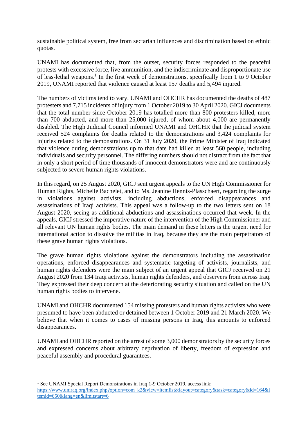sustainable political system, free from sectarian influences and discrimination based on ethnic quotas.

UNAMI has documented that, from the outset, security forces responded to the peaceful protests with excessive force, live ammunition, and the indiscriminate and disproportionate use of less-lethal weapons.<sup>1</sup> In the first week of demonstrations, specifically from 1 to 9 October 2019, UNAMI reported that violence caused at least 157 deaths and 5,494 injured.

The numbers of victims tend to vary. UNAMI and OHCHR has documented the deaths of 487 protesters and 7,715 incidents of injury from 1 October 2019 to 30 April 2020. GICJ documents that the total number since October 2019 has totalled more than 800 protesters killed, more than 700 abducted, and more than 25,000 injured, of whom about 4,000 are permanently disabled. The High Judicial Council informed UNAMI and OHCHR that the judicial system received 524 complaints for deaths related to the demonstrations and 3,424 complaints for injuries related to the demonstrations. On 31 July 2020, the Prime Minister of Iraq indicated that violence during demonstrations up to that date had killed at least 560 people, including individuals and security personnel. The differing numbers should not distract from the fact that in only a short period of time thousands of innocent demonstrators were and are continuously subjected to severe human rights violations.

In this regard, on 25 August 2020, GICJ sent urgent appeals to the UN High Commissioner for Human Rights, Michelle Bachelet, and to Ms. Jeanine Hennis-Plasschaert, regarding the surge in violations against activists, including abductions, enforced disappearances and assassinations of Iraqi activists. This appeal was a follow-up to the two letters sent on 18 August 2020, seeing as additional abductions and assassinations occurred that week. In the appeals, GICJ stressed the imperative nature of the intervention of the High Commissioner and all relevant UN human rights bodies. The main demand in these letters is the urgent need for international action to dissolve the militias in Iraq, because they are the main perpetrators of these grave human rights violations.

The grave human rights violations against the demonstrators including the assassination operations, enforced disappearances and systematic targeting of activists, journalists, and human rights defenders were the main subject of an urgent appeal that GICJ received on 21 August 2020 from 134 Iraqi activists, human rights defenders, and observers from across Iraq. They expressed their deep concern at the deteriorating security situation and called on the UN human rights bodies to intervene.

UNAMI and OHCHR documented 154 missing protesters and human rights activists who were presumed to have been abducted or detained between 1 October 2019 and 21 March 2020. We believe that when it comes to cases of missing persons in Iraq, this amounts to enforced disappearances.

UNAMI and OHCHR reported on the arrest of some 3,000 demonstrators by the security forces and expressed concerns about arbitrary deprivation of liberty, freedom of expression and peaceful assembly and procedural guarantees.

<sup>&</sup>lt;sup>1</sup> See UNAMI Special Report Demonstrations in Iraq 1-9 October 2019, access link:

[https://www.uniraq.org/index.php?option=com\\_k2&view=itemlist&layout=category&task=category&id=164&I](https://www.uniraq.org/index.php?option=com_k2&view=itemlist&layout=category&task=category&id=164&Itemid=650&lang=en&limitstart=6) [temid=650&lang=en&limitstart=6](https://www.uniraq.org/index.php?option=com_k2&view=itemlist&layout=category&task=category&id=164&Itemid=650&lang=en&limitstart=6)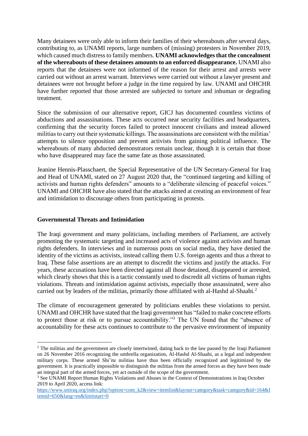Many detainees were only able to inform their families of their whereabouts after several days, contributing to, as UNAMI reports, large numbers of (missing) protesters in November 2019, which caused much distress to family members. **UNAMI acknowledges that the concealment of the whereabouts of these detainees amounts to an enforced disappearance.** UNAMI also reports that the detainees were not informed of the reason for their arrest and arrests were carried out without an arrest warrant. Interviews were carried out without a lawyer present and detainees were not brought before a judge in the time required by law. UNAMI and OHCHR have further reported that those arrested are subjected to torture and inhuman or degrading treatment.

Since the submission of our alternative report, GICJ has documented countless victims of abductions and assassinations. These acts occurred near security facilities and headquarters, confirming that the security forces failed to protect innocent civilians and instead allowed militias to carry out their systematic killings. The assassinations are consistent with the militias' attempts to silence opposition and prevent activists from gaining political influence. The whereabouts of many abducted demonstrators remain unclear, though it is certain that those who have disappeared may face the same fate as those assassinated.

Jeanine Hennis-Plasschaert, the Special Representative of the UN Secretary-General for Iraq and Head of UNAMI, stated on 27 August 2020 that, the "continued targeting and killing of activists and human rights defenders" amounts to a "deliberate silencing of peaceful voices." UNAMI and OHCHR have also stated that the attacks aimed at creating an environment of fear and intimidation to discourage others from participating in protests.

#### **Governmental Threats and Intimidation**

The Iraqi government and many politicians, including members of Parliament, are actively promoting the systematic targeting and increased acts of violence against activists and human rights defenders. In interviews and in numerous posts on social media, they have denied the identity of the victims as activists, instead calling them U.S. foreign agents and thus a threat to Iraq. These false assertions are an attempt to discredit the victims and justify the attacks. For years, these accusations have been directed against all those detained, disappeared or arrested, which clearly shows that this is a tactic constantly used to discredit all victims of human rights violations. Threats and intimidation against activists, especially those assassinated, were also carried out by leaders of the militias, primarily those affiliated with al-Hashd al-Shaabi.<sup>2</sup>

The climate of encouragement generated by politicians enables these violations to persist. UNAMI and OHCHR have stated that the Iraqi government has "failed to make concrete efforts to protect those at risk or to pursue accountability."<sup>3</sup> The UN found that the "absence of accountability for these acts continues to contribute to the pervasive environment of impunity

<sup>&</sup>lt;sup>2</sup> The militias and the government are closely intertwined, dating back to the law passed by the Iraqi Parliament on 26 November 2016 recognizing the umbrella organization, Al-Hashd Al-Shaabi, as a legal and independent military corps. These armed Shi'ite militias have thus been officially recognized and legitimized by the government. It is practically impossible to distinguish the militias from the armed forces as they have been made an integral part of the armed forces, yet act outside of the scope of the government.

<sup>&</sup>lt;sup>3</sup> See UNAMI Report Human Rights Violations and Abuses in the Context of Demonstrations in Iraq October [2019 to April 2020,](https://www.uniraq.org/index.php?option=com_k2&view=item&task=download&id=3869_281e122059cf2a1f16914af06c104bce&Itemid=650&lang=en) access link:

[https://www.uniraq.org/index.php?option=com\\_k2&view=itemlist&layout=category&task=category&id=164&I](https://www.uniraq.org/index.php?option=com_k2&view=itemlist&layout=category&task=category&id=164&Itemid=650&lang=en&limitstart=0) [temid=650&lang=en&limitstart=0](https://www.uniraq.org/index.php?option=com_k2&view=itemlist&layout=category&task=category&id=164&Itemid=650&lang=en&limitstart=0)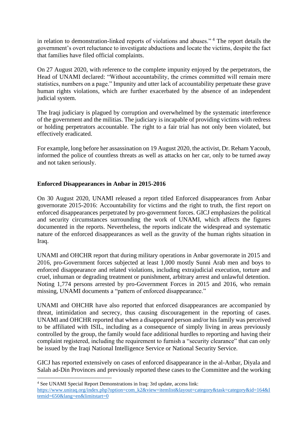in relation to demonstration-linked reports of violations and abuses." <sup>4</sup> The report details the government's overt reluctance to investigate abductions and locate the victims, despite the fact that families have filed official complaints.

On 27 August 2020, with reference to the complete impunity enjoyed by the perpetrators, the Head of UNAMI declared: "Without accountability, the crimes committed will remain mere statistics, numbers on a page." Impunity and utter lack of accountability perpetuate these grave human rights violations, which are further exacerbated by the absence of an independent judicial system.

The Iraqi judiciary is plagued by corruption and overwhelmed by the systematic interference of the government and the militias. The judiciary is incapable of providing victims with redress or holding perpetrators accountable. The right to a fair trial has not only been violated, but effectively eradicated.

For example, long before her assassination on 19 August 2020, the activist, Dr. Reham Yacoub, informed the police of countless threats as well as attacks on her car, only to be turned away and not taken seriously.

### **Enforced Disappearances in Anbar in 2015-2016**

On 30 August 2020, UNAMI released a report titled Enforced disappearances from Anbar governorate 2015-2016: Accountability for victims and the right to truth, the first report on enforced disappearances perpetrated by pro-government forces. GICJ emphasizes the political and security circumstances surrounding the work of UNAMI, which affects the figures documented in the reports. Nevertheless, the reports indicate the widespread and systematic nature of the enforced disappearances as well as the gravity of the human rights situation in Iraq.

UNAMI and OHCHR report that during military operations in Anbar governorate in 2015 and 2016, pro-Government forces subjected at least 1,000 mostly Sunni Arab men and boys to enforced disappearance and related violations, including extrajudicial execution, torture and cruel, inhuman or degrading treatment or punishment, arbitrary arrest and unlawful detention. Noting 1,774 persons arrested by pro-Government Forces in 2015 and 2016, who remain missing, UNAMI documents a "pattern of enforced disappearance."

UNAMI and OHCHR have also reported that enforced disappearances are accompanied by threat, intimidation and secrecy, thus causing discouragement in the reporting of cases. UNAMI and OHCHR reported that when a disappeared person and/or his family was perceived to be affiliated with ISIL, including as a consequence of simply living in areas previously controlled by the group, the family would face additional hurdles to reporting and having their complaint registered, including the requirement to furnish a "security clearance" that can only be issued by the Iraqi National Intelligence Service or National Security Service.

GICJ has reported extensively on cases of enforced disappearance in the al-Anbar, Diyala and Salah ad-Din Provinces and previously reported these cases to the Committee and the working

<sup>4</sup> See UNAMI Special Report Demonstrations in Iraq: 3rd update, access link:

[https://www.uniraq.org/index.php?option=com\\_k2&view=itemlist&layout=category&task=category&id=164&I](https://www.uniraq.org/index.php?option=com_k2&view=itemlist&layout=category&task=category&id=164&Itemid=650&lang=en&limitstart=0) [temid=650&lang=en&limitstart=0](https://www.uniraq.org/index.php?option=com_k2&view=itemlist&layout=category&task=category&id=164&Itemid=650&lang=en&limitstart=0)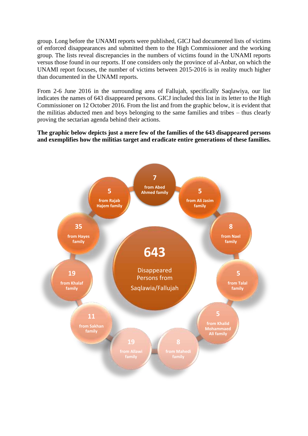group. Long before the UNAMI reports were published, GICJ had documented lists of victims of enforced disappearances and submitted them to the High Commissioner and the working group. The lists reveal discrepancies in the numbers of victims found in the UNAMI reports versus those found in our reports. If one considers only the province of al-Anbar, on which the UNAMI report focuses, the number of victims between 2015-2016 is in reality much higher than documented in the UNAMI reports.

From 2-6 June 2016 in the surrounding area of Fallujah, specifically Saqlawiya, our list indicates the names of 643 disappeared persons. GICJ included this list in its letter to the High Commissioner on 12 October 2016. From the list and from the graphic below, it is evident that the militias abducted men and boys belonging to the same families and tribes – thus clearly proving the sectarian agenda behind their actions.

**The graphic below depicts just a mere few of the families of the 643 disappeared persons and exemplifies how the militias target and eradicate entire generations of these families.**

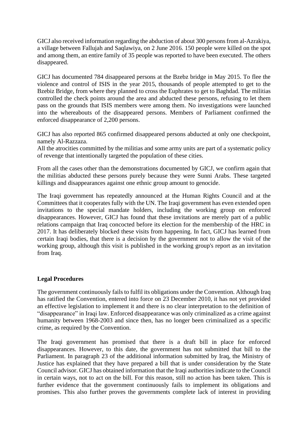GICJ also received information regarding the abduction of about 300 persons from al-Azrakiya, a village between Fallujah and Saqlawiya, on 2 June 2016. 150 people were killed on the spot and among them, an entire family of 35 people was reported to have been executed. The others disappeared.

GICJ has documented 784 disappeared persons at the Bzebz bridge in May 2015. To flee the violence and control of ISIS in the year 2015, thousands of people attempted to get to the Bzebiz Bridge, from where they planned to cross the Euphrates to get to Baghdad. The militias controlled the check points around the area and abducted these persons, refusing to let them pass on the grounds that ISIS members were among them. No investigations were launched into the whereabouts of the disappeared persons. Members of Parliament confirmed the enforced disappearance of 2,200 persons.

GICJ has also reported 865 confirmed disappeared persons abducted at only one checkpoint, namely Al-Razzaza.

All the atrocities committed by the militias and some army units are part of a systematic policy of revenge that intentionally targeted the population of these cities.

From all the cases other than the demonstrations documented by GICJ, we confirm again that the militias abducted these persons purely because they were Sunni Arabs. These targeted killings and disappearances against one ethnic group amount to genocide.

The Iraqi government has repeatedly announced at the Human Rights Council and at the Committees that it cooperates fully with the UN. The Iraqi government has even extended open invitations to the special mandate holders, including the working group on enforced disappearances. However, GICJ has found that these invitations are merely part of a public relations campaign that Iraq concocted before its election for the membership of the HRC in 2017. It has deliberately blocked these visits from happening. In fact, GICJ has learned from certain Iraqi bodies, that there is a decision by the government not to allow the visit of the working group, although this visit is published in the working group's report as an invitation from Iraq.

#### **Legal Procedures**

The government continuously fails to fulfil its obligations under the Convention. Although Iraq has ratified the Convention, entered into force on 23 December 2010, it has not yet provided an effective legislation to implement it and there is no clear interpretation to the definition of "disappearance" in Iraqi law. Enforced disappearance was only criminalized as a crime against humanity between 1968-2003 and since then, has no longer been criminalized as a specific crime, as required by the Convention.

The Iraqi government has promised that there is a draft bill in place for enforced disappearances. However, to this date, the government has not submitted that bill to the Parliament. In paragraph 23 of the additional information submitted by Iraq, the Ministry of Justice has explained that they have prepared a bill that is under consideration by the State Council advisor. GICJ has obtained information that the Iraqi authorities indicate to the Council in certain ways, not to act on the bill. For this reason, still no action has been taken. This is further evidence that the government continuously fails to implement its obligations and promises. This also further proves the governments complete lack of interest in providing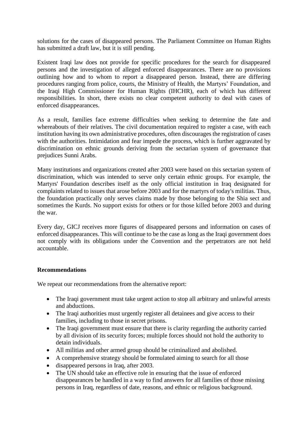solutions for the cases of disappeared persons. The Parliament Committee on Human Rights has submitted a draft law, but it is still pending.

Existent Iraqi law does not provide for specific procedures for the search for disappeared persons and the investigation of alleged enforced disappearances. There are no provisions outlining how and to whom to report a disappeared person. Instead, there are differing procedures ranging from police, courts, the Ministry of Health, the Martyrs' Foundation, and the Iraqi High Commissioner for Human Rights (IHCHR), each of which has different responsibilities. In short, there exists no clear competent authority to deal with cases of enforced disappearances.

As a result, families face extreme difficulties when seeking to determine the fate and whereabouts of their relatives. The civil documentation required to register a case, with each institution having its own administrative procedures, often discourages the registration of cases with the authorities. Intimidation and fear impede the process, which is further aggravated by discrimination on ethnic grounds deriving from the sectarian system of governance that prejudices Sunni Arabs.

Many institutions and organizations created after 2003 were based on this sectarian system of discrimination, which was intended to serve only certain ethnic groups. For example, the Martyrs' Foundation describes itself as the only official institution in Iraq designated for complaints related to issues that arose before 2003 and for the martyrs of today's militias. Thus, the foundation practically only serves claims made by those belonging to the Shia sect and sometimes the Kurds. No support exists for others or for those killed before 2003 and during the war.

Every day, GICJ receives more figures of disappeared persons and information on cases of enforced disappearances. This will continue to be the case as long as the Iraqi government does not comply with its obligations under the Convention and the perpetrators are not held accountable.

### **Recommendations**

We repeat our recommendations from the alternative report:

- The Iraqi government must take urgent action to stop all arbitrary and unlawful arrests and abductions.
- The Iraqi authorities must urgently register all detainees and give access to their families, including to those in secret prisons.
- The Iraqi government must ensure that there is clarity regarding the authority carried by all division of its security forces; multiple forces should not hold the authority to detain individuals.
- All militias and other armed group should be criminalized and abolished.
- A comprehensive strategy should be formulated aiming to search for all those
- disappeared persons in Iraq, after 2003.
- The UN should take an effective role in ensuring that the issue of enforced disappearances be handled in a way to find answers for all families of those missing persons in Iraq, regardless of date, reasons, and ethnic or religious background.